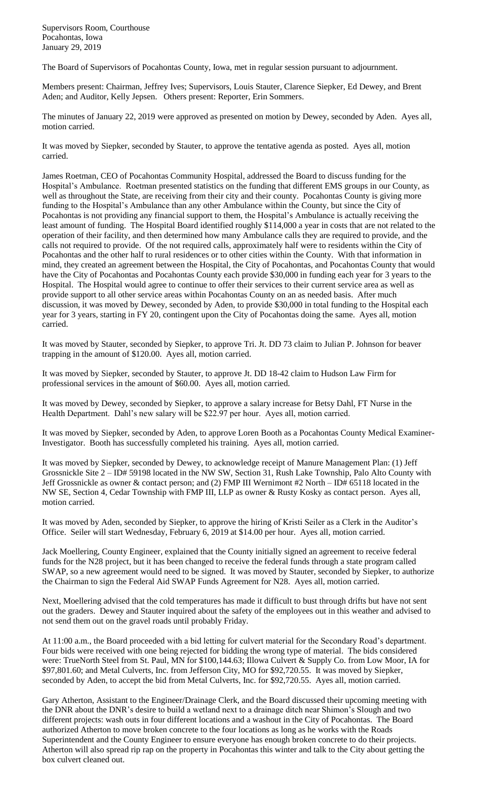Supervisors Room, Courthouse Pocahontas, Iowa January 29, 2019

The Board of Supervisors of Pocahontas County, Iowa, met in regular session pursuant to adjournment.

Members present: Chairman, Jeffrey Ives; Supervisors, Louis Stauter, Clarence Siepker, Ed Dewey, and Brent Aden; and Auditor, Kelly Jepsen. Others present: Reporter, Erin Sommers.

The minutes of January 22, 2019 were approved as presented on motion by Dewey, seconded by Aden. Ayes all, motion carried.

It was moved by Siepker, seconded by Stauter, to approve the tentative agenda as posted. Ayes all, motion carried.

James Roetman, CEO of Pocahontas Community Hospital, addressed the Board to discuss funding for the Hospital's Ambulance. Roetman presented statistics on the funding that different EMS groups in our County, as well as throughout the State, are receiving from their city and their county. Pocahontas County is giving more funding to the Hospital's Ambulance than any other Ambulance within the County, but since the City of Pocahontas is not providing any financial support to them, the Hospital's Ambulance is actually receiving the least amount of funding. The Hospital Board identified roughly \$114,000 a year in costs that are not related to the operation of their facility, and then determined how many Ambulance calls they are required to provide, and the calls not required to provide. Of the not required calls, approximately half were to residents within the City of Pocahontas and the other half to rural residences or to other cities within the County. With that information in mind, they created an agreement between the Hospital, the City of Pocahontas, and Pocahontas County that would have the City of Pocahontas and Pocahontas County each provide \$30,000 in funding each year for 3 years to the Hospital. The Hospital would agree to continue to offer their services to their current service area as well as provide support to all other service areas within Pocahontas County on an as needed basis. After much discussion, it was moved by Dewey, seconded by Aden, to provide \$30,000 in total funding to the Hospital each year for 3 years, starting in FY 20, contingent upon the City of Pocahontas doing the same. Ayes all, motion carried.

It was moved by Stauter, seconded by Siepker, to approve Tri. Jt. DD 73 claim to Julian P. Johnson for beaver trapping in the amount of \$120.00. Ayes all, motion carried.

It was moved by Siepker, seconded by Stauter, to approve Jt. DD 18-42 claim to Hudson Law Firm for professional services in the amount of \$60.00. Ayes all, motion carried.

It was moved by Dewey, seconded by Siepker, to approve a salary increase for Betsy Dahl, FT Nurse in the Health Department. Dahl's new salary will be \$22.97 per hour. Ayes all, motion carried.

It was moved by Siepker, seconded by Aden, to approve Loren Booth as a Pocahontas County Medical Examiner-Investigator. Booth has successfully completed his training. Ayes all, motion carried.

It was moved by Siepker, seconded by Dewey, to acknowledge receipt of Manure Management Plan: (1) Jeff Grossnickle Site 2 – ID# 59198 located in the NW SW, Section 31, Rush Lake Township, Palo Alto County with Jeff Grossnickle as owner & contact person; and (2) FMP III Wernimont #2 North – ID# 65118 located in the NW SE, Section 4, Cedar Township with FMP III, LLP as owner & Rusty Kosky as contact person. Ayes all, motion carried.

It was moved by Aden, seconded by Siepker, to approve the hiring of Kristi Seiler as a Clerk in the Auditor's Office. Seiler will start Wednesday, February 6, 2019 at \$14.00 per hour. Ayes all, motion carried.

Jack Moellering, County Engineer, explained that the County initially signed an agreement to receive federal funds for the N28 project, but it has been changed to receive the federal funds through a state program called SWAP, so a new agreement would need to be signed. It was moved by Stauter, seconded by Siepker, to authorize the Chairman to sign the Federal Aid SWAP Funds Agreement for N28. Ayes all, motion carried.

Next, Moellering advised that the cold temperatures has made it difficult to bust through drifts but have not sent out the graders. Dewey and Stauter inquired about the safety of the employees out in this weather and advised to not send them out on the gravel roads until probably Friday.

At 11:00 a.m., the Board proceeded with a bid letting for culvert material for the Secondary Road's department. Four bids were received with one being rejected for bidding the wrong type of material. The bids considered were: TrueNorth Steel from St. Paul, MN for \$100,144.63; Illowa Culvert & Supply Co. from Low Moor, IA for \$97,801.60; and Metal Culverts, Inc. from Jefferson City, MO for \$92,720.55. It was moved by Siepker, seconded by Aden, to accept the bid from Metal Culverts, Inc. for \$92,720.55. Ayes all, motion carried.

Gary Atherton, Assistant to the Engineer/Drainage Clerk, and the Board discussed their upcoming meeting with the DNR about the DNR's desire to build a wetland next to a drainage ditch near Shimon's Slough and two different projects: wash outs in four different locations and a washout in the City of Pocahontas. The Board authorized Atherton to move broken concrete to the four locations as long as he works with the Roads Superintendent and the County Engineer to ensure everyone has enough broken concrete to do their projects. Atherton will also spread rip rap on the property in Pocahontas this winter and talk to the City about getting the box culvert cleaned out.